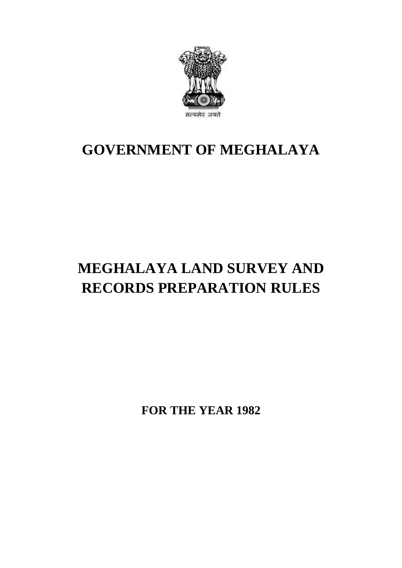

# **GOVERNMENT OF MEGHALAYA**

# **MEGHALAYA LAND SURVEY AND RECORDS PREPARATION RULES**

**FOR THE YEAR 1982**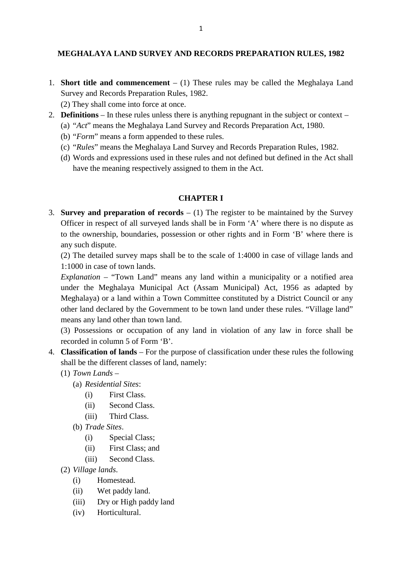# **MEGHALAYA LAND SURVEY AND RECORDS PREPARATION RULES, 1982**

1. **Short title and commencement** – (1) These rules may be called the Meghalaya Land Survey and Records Preparation Rules, 1982.

(2) They shall come into force at once.

- - (a) "*Act*" means the Meghalaya Land Survey and Records Preparation Act, 1980.
	- (b) "*Form*" means a form appended to these rules.
	- (c) "*Rules*" means the Meghalaya Land Survey and Records Preparation Rules, 1982.
- 2. **Definitions** In these rules unless there is anything repugnant in the subject or context (a) " $Act$ " means the Meghalaya Land Survey and Records Preparation Rules, 1982. (c) " $Rules$ " means the Meghalaya Land Survey and have the meaning respectively assigned to them in the Act.

# **CHAPTER I**

3. **Survey and preparation of records** – (1) The register to be maintained by the Survey Officer in respect of all surveyed lands shall be in Form 'A' where there is no dispute as to the ownership, boundaries, possession or other rights and in Form 'B' where there is any such dispute. **Survey and preparation of records** – (1) The register to be maintained by the Survey Officer in respect of all surveyed lands shall be in Form 'A' where there is no dispute as to the ownership, boundaries, possession or

1:1000 in case of town lands.

to the ownership, boundaries, possession or other rights and in Form 'B' where there is<br>any such dispute.<br>(2) The detailed survey maps shall be to the scale of 1:4000 in case of village lands and<br>1:1000 in case of town lan under the Meghalaya Municipal Act (Assam Municipal) Act, 1956 as adapted by Meghalaya) or a land within a Town Committee constituted by a District Council or any other land declared by the Government to be town land under these rules. "Village land" means any land other than town land. other land declared by the Government to be town land under these rules. "Village land"<br>means any land other than town land.<br>(3) Possessions or occupation of any land in violation of any law in force shall be<br>recorded in c

(3) Possessions or occupation of any land in violation of any law in force shall be recorded in column 5 of Form 'B'.

- shall be the different classes of land, namely:<br>
(1) Town Lands –<br>
(a) Residential Sites:<br>
(i) First Class.<br>
(ii) Second Class.<br>
(iii) Third Class. 4. **Classification of lands** – For the purpose of classification under these rules the following shall be the different classes of land, namely:<br>
(1) *Town Lands* –<br>
(a) *Residential Sites*:<br>
(i) First Class.<br>
(ii) Second
	- (1) *Town Lands*
		- (a) *Residential Sites*:
			-
- vn Lands –<br>Residential Sites:<br>(i) First Class.<br>(ii) Second Class.<br>Trade Sites.
	-
	- -
	- (i) First Class.<br>
	(ii) Second Class.<br>
	(iii) Third Class.<br>
	(b) *Trade Sites*.<br>
	(i) Special Class;<br>
	(ii) First Class; and (ii) Second Class.<br>
	(iii) Third Class.<br>
	Trade Sites.<br>
	(i) Special Class;<br>
	(ii) First Class; and<br>
	(iii) Second Class. (iii) Third Class.<br>
	Trade Sites.<br>
	(i) Special Class;<br>
	(ii) First Class; and<br>
	(iii) Second Class.<br>
	age lands.
		-
	- -
	- (i) Special Clas<br>
	(ii) First Class; a<br>
	(iii) Second Clas<br>
	(2) *Village lands*.<br>
	(i) Homestead.<br>
	(ii) Wet paddy land. Village lands.<br>
	(i) Homestead.<br>
	(ii) Wet paddy la<br>
	(iii) Dry or High <sub>I</sub><br>
	(iv) Horticultural.
		- (ii) First Class; and<br>
		(iii) Second Class.<br>
		Village lands.<br>
		(i) Homestead.<br>
		(ii) Wet paddy land.<br>
		(iii) Dry or High paddy la (iii) Second Class.<br>
		Village lands.<br>
		(i) Homestead.<br>
		(ii) Wet paddy land.<br>
		(iii) Dry or High paddy land<br>
		(iv) Horticultural.
		-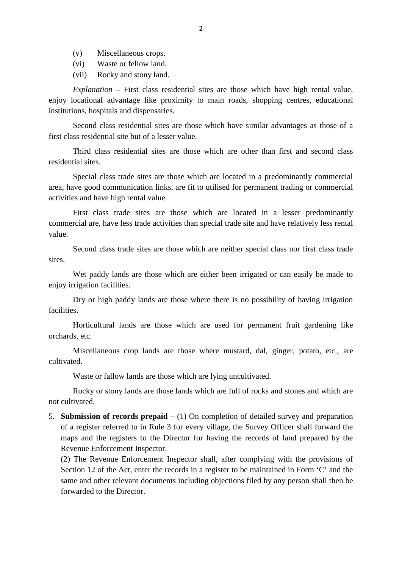- 
- (v) Miscellaneous crops.<br>(vi) Waste or fellow land.
- (v) Miscellaneous crops.<br>
(vi) Waste or fellow land.<br>
(vii) Rocky and stony land.

2<br>
(vi) Miscellaneous crops.<br>
(vii) Waste or fellow land.<br> *Explanation* – First class residential sites are those which have high rental value, (v) Miscellaneous crops.<br>
(vi) Waste or fellow land.<br>
(vii) Rocky and stony land.<br> *Explanation* – First class residential sites are those which have high rental value,<br>
enjoy locational advantage like proximity to main ro institutions, hospitals and dispensaries.

Second class residential sites are those which have similar advantages as those of a first class residential site but of a lesser value.

Third class residential sites are those which are other than first and second class residential sites.

Special class trade sites are those which are located in a predominantly commercial area, have good communication links, are fit to utilised for permanent trading or commercial activities and have high rental value.

First class trade sites are those which are located in a lesser predominantly commercial are, have less trade activities than special trade site and have relatively less rental value.

Second class trade sites are those which are neither special class nor first class trade sites.

Wet paddy lands are those which are either been irrigated or can easily be made to enjoy irrigation facilities.

Dry or high paddy lands are those where there is no possibility of having irrigation facilities.

Horticultural lands are those which are used for permanent fruit gardening like orchards, etc.

Miscellaneous crop lands are those where mustard, dal, ginger, potato, etc., are cultivated.

Waste or fallow lands are those which are lying uncultivated.

Rocky or stony lands are those lands which are full of rocks and stones and which are not cultivated.

5. **Submission of records prepaid** – (1) On completion of detailed survey and preparation of a register referred to in Rule 3 for every village, the Survey Officer shall forward the maps and the registers to the Director for having the records of land prepared by the Revenue Enforcement Inspector. **Submission of records prepaid** – (1) On completion of detailed survey and preparation of a register referred to in Rule 3 for every village, the Survey Officer shall forward the maps and the registers to the Director for

Section 12 of the Act, enter the records in a register to be maintained in Form 'C' and the same and other relevant documents including objections filed by any person shall then be forwarded to the Director.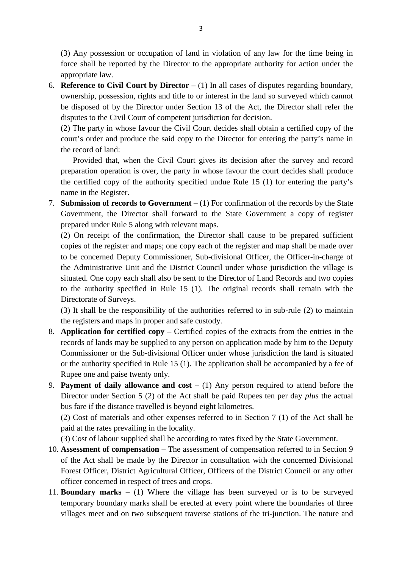(3) Any possession or occupation of land in violation of any law for the time being in force shall be reported by the Director to the appropriate authority for action under the appropriate law.

6. **Reference to Civil Court by Director** – (1) In all cases of disputes regarding boundary, ownership, possession, rights and title to or interest in the land so surveyed which cannot force shall be reported by the Director to the appropriate authority for action under the appropriate law.<br> **Reference to Civil Court by Director**  $- (1)$  In all cases of disputes regarding boundary, ownership, possession, appropriate law.<br> **Reference to Civil Court by Director**  $- (1)$  In all cases of disputes<br>
ownership, possession, rights and title to or interest in the land so sur<br>
be disposed of by the Director under Section 13 of the A **Reference to Civil Court by Director**  $- (1)$  In all cases of disputes regarding boundary, ownership, possession, rights and title to or interest in the land so surveyed which cannot be disposed of by the Director under S

court's order and produce the said copy to the Director for entering the party's name in the record of land: disputes to the Civil Court of competent jurisdiction for decision.<br>
(2) The party in whose favour the Civil Court decides shall obtain a certified copy of the court's order and produce the said copy to the Director for en

the certified copy of the authority specified undue Rule 15 (1) for entering the party's the record of land:<br>Provided that, when<br>preparation operation is a<br>the certified copy of the<br>name in the Register.<br>**Submission of records to** Provided that, when the Civil Court gives its decision after the survey and record preparation operation is over, the party in whose favour the court decides shall produce the certified copy of the authority specified und

Government, the Director shall forward to the State Government a copy of register prepared under Rule 5 along with relevant maps. mame in the Register.<br> **Submission of records to Government** – (1) For confirmation of the records by the State<br>
Government, the Director shall forward to the State Government a copy of register<br>
prepared under Rule 5 alo

copies of the register and maps; one copy each of the register and map shall be made over to be concerned Deputy Commissioner, Sub-divisional Officer, the Officer-in-charge of the Administrative Unit and the District Council under whose jurisdiction the village is <sup>1</sup> On receipt of the confirmation, the Director shall cause to be prepared sufficient copies of the register and maps; one copy each of the register and map shall be made over to be concerned Deputy Commissioner, Sub-divi to be concerned Deputy Co<br>the Administrative Unit and<br>situated. One copy each sha<br>to the authority specified<br>Directorate of Surveys.<br>(3) It shall be the responsit the Administrative Unit and the District Council under whose jurisdiction the village is situated. One copy each shall also be sent to the Director of Land Records and two copies to the authority specified in Rule 15 (1).

the registers and maps in proper and safe custody. 8. **Application for certified copy** – Certified copies of the extracts from the entries in the entries **Application for certified copy** – Certified copies of the extracts from the entries in the

- records of lands may be supplied to any person on application made by him to the Deputy (3) It shall be the responsibility of the authorities referred to in sub-rule (2) to maintain<br>the registers and maps in proper and safe custody.<br>**Application for certified copy** – Certified copies of the extracts from the the registers and maps in proper and safe custody.<br> **Application for certified copy** – Certified copies of the extracts from the entries in the<br>
records of lands may be supplied to any person on application made by him to Rupee one and paise twenty only.
- 9. **Payment of daily allowance and cost** (1) Any person required to attend before the Director under Section 5 (2) of the Act shall be paid Rupees ten per day *plus* the actual bus fare if the distance travelled is beyond eight kilometres. Rupee one and paise twenty only.<br> **Payment of daily allowance and cost** – (1) Any person required to attend before the<br>
Director under Section 5 (2) of the Act shall be paid Rupees ten per day *plus* the actual<br>
bus fare

paid at the rates prevailing in the locality.

(3) Cost of labour supplied shall be according to rates fixed by the State Government.

- 10. **Assessment of compensation** The assessment of compensation referred to in Section 9 of the Act shall be made by the Director in consultation with the concerned Divisional paid at the rates prevailing in the locality.<br>
(3) Cost of labour supplied shall be according to rates fixed by the State Government.<br> **Assessment of compensation** – The assessment of compensation referred to in Section 9<br> officer concerned in respect of trees and crops.
- 11. **Boundary marks** (1) Where the village has been surveyed or is to be surveyed temporary boundary marks shall be erected at every point where the boundaries of three Forest Officer, District Agricultural Officer, Officers of the District Council or any other officer concerned in respect of trees and crops.<br>**Boundary marks** – (1) Where the village has been surveyed or is to be surveyed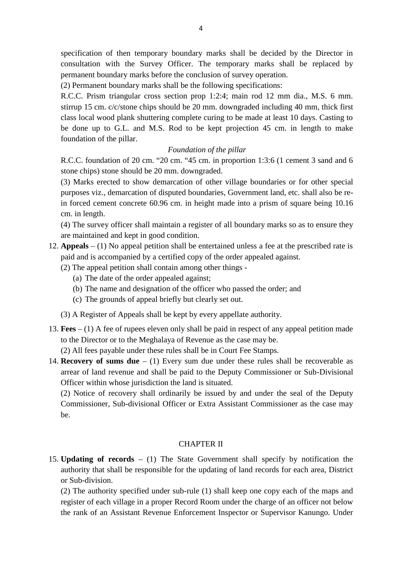specification of then temporary boundary marks shall be decided by the Director in consultation with the Survey Officer. The temporary marks shall be replaced by permanent boundary marks before the conclusion of survey operation. specification of then temporary boundary marks shall be decided by the Director in<br>consultation with the Survey Officer. The temporary marks shall be replaced by<br>permanent boundary marks before the conclusion of survey ope

(2) Permanent boundary marks shall be the following specifications:<br>R.C.C. Prism triangular cross section prop 1:2:4; main rod 12 mm dia., M.S. 6 mm. consultation with the Survey Officer. The temporary marks shall be replaced by<br>permanent boundary marks before the conclusion of survey operation.<br>(2) Permanent boundary marks shall be the following specifications:<br>R.C.C. class local wood plank shuttering complete curing to be made at least 10 days. Casting to be done up to G.L. and M.S. Rod to be kept projection 45 cm. in length to make foundation of the pillar. class local wood plank shuttering complete curing to be made at least 10 days. Casting to<br>be done up to G.L. and M.S. Rod to be kept projection 45 cm. in length to make<br>foundation of the pillar.<br>Foundation of the pillar<br>R.

# *Foundation of the pillar*

stone chips) stone should be 20 mm. downgraded.

Foundation of the pillar<br>
Foundation of the pillar<br>
R.C.C. foundation of 20 cm. "20 cm. "45 cm. in proportion 1:3:6 (1 cement 3 sand and 6<br>
stone chips) stone should be 20 mm. downgraded.<br>
(3) Marks erected to show demarca purposes viz., demarcation of disputed boundaries, Government land, etc. shall also be rein forced cement concrete 60.96 cm. in height made into a prism of square being 10.16 cm. in length. (3) Marks erected to show demarcation of other village boundaries or for other special purposes viz., demarcation of disputed boundaries, Government land, etc. shall also be re-<br>in forced cement concrete 60.96 cm. in heig

are maintained and kept in good condition.

- 12. **Appeals** (1) No appeal petition shall be entertained unless a fee at the prescribed rate is paid and is accompanied by a certified copy of the order appealed against.<br>(2) The appeal petition shall contain among othe paid and is accompanied by a certified copy of the order appealed against. (4) The survey officer shall maintain a register of all boundary<br>are maintained and kept in good condition.<br>Appeals  $- (1)$  No appeal petition shall be entertained unless a 1<br>paid and is accompanied by a certified copy of maintained and kept in good condition.<br> **peals**  $- (1)$  No appeal petition shall be entertain<br>  $\bf{l}$  and is accompanied by a certified copy of the order<br>  $\bf{r}$  The appeal petition shall contain among other the<br>  $\bf{r}$  I and is accompanied by a certified copy of the order appear<br>The appeal petition shall contain among other things -<br>(a) The date of the order appealed against;<br>(b) The name and designation of the officer who passed t<br>(c) T
	- -
		-
		-
	- (3) A Register of Appeals shall be kept by every appellate authority.
- 13. **Fees** (1) A fee of rupees eleven only shall be paid in respect of any appeal petition made to the Director or to the Meghalaya of Revenue as the case may be.

(2) All fees payable under these rules shall be in Court Fee Stamps.

14. **Recovery of sums due** – (1) Every sum due under these rules shall be recoverable as arrear of land revenue and shall be paid to the Deputy Commissioner or Sub-Divisional Officer within whose jurisdiction the land is situated.

(2) Notice of recovery shall ordinarily be issued by and under the seal of the Deputy Commissioner, Sub-divisional Officer or Extra Assistant Commissioner as the case may be.

# CHAPTER II

15. **Updating of records** – (1) The State Government shall specify by notification the authority that shall be responsible for the updating of land records for each area, District authority that shall be responsible for the updating of land records for each area, District or Sub-division. CHAPTER II<br>
Updating of records – (1) The State Government shall specify by notification the<br>
authority that shall be responsible for the updating of land records for each area, District<br>
or Sub-division.<br>
(2) The authorit

**Updating of records**  $-$  (1) The State Government shall specify by notification the authority that shall be responsible for the updating of land records for each area, District or Sub-division.<br>(2) The authority specifie the rank of an Assistant Revenue Enforcement Inspector or Supervisor Kanungo. Under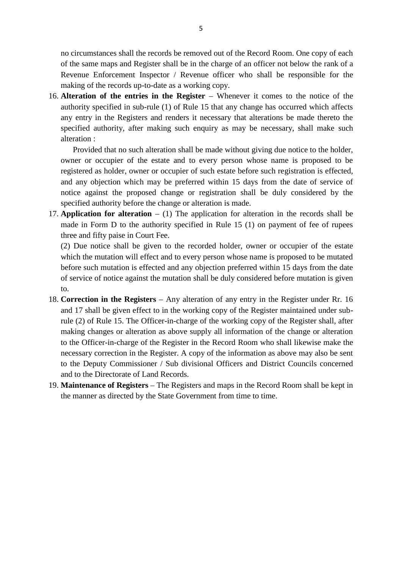no circumstances shall the records be removed out of the Record Room. One copy of each of the same maps and Register shall be in the charge of an officer not below the rank of a Revenue Enforcement Inspector / Revenue officer who shall be responsible for the making of the records up-to-date as a working copy.

16. **Alteration of the entries in the Register** – Whenever it comes to the notice of the authority specified in sub-rule (1) of Rule 15 that any change has occurred which affects any entry in the Registers and renders it necessary that alterations be made thereto the making of the records up-to-date as a working copy.<br>Alteration of the entries in the Register – Whenever it comes to the notice of the<br>authority specified in sub-rule (1) of Rule 15 that any change has occurred which affec alteration :

Provided that no such alteration shall be made without giving due notice to the holder, owner or occupier of the estate and to every person whose name is proposed to be registered as holder, owner or occupier of such estate before such registration is effected, and any objection which may be preferred within 15 days from the date of service of notice against the proposed change or registration shall be duly considered by the specified authority before the change or alteration is made.

17. **Application for alteration** – (1) The application for alteration in the records shall be made in Form D to the authority specified in Rule 15 (1) on payment of fee of rupees three and fifty paise in Court Fee.

(2) Due notice shall be given to the recorded holder, owner or occupier of the estate which the mutation will effect and to every person whose name is proposed to be mutated before such mutation is effected and any objection preferred within 15 days from the date three and fifty paise in Court Fee.<br>
(2) Due notice shall be given to the recorded holder, owner or occupier of the estate<br>
which the mutation will effect and to every person whose name is proposed to be mutated<br>
before su to.

- 18. **Correction in the Registers** Any alteration of any entry in the Register under Rr. 16 and 17 shall be given effect to in the working copy of the Register maintained under sub-<br>rule (2) of Rule 15. The Officer-in-cha and 17 shall be given effect to in the working copy of the Register maintained under subof service of notice against the mutation shall be duly considered before mutation is given<br>to.<br>Correction in the Registers – Any alteration of any entry in the Register under Rr. 16<br>and 17 shall be given effect to in the making changes or alteration as above supply all information of the change or alteration necessary correction in the Register. A copy of the information as above may also be sent rule (2) of Rule 15. The Officer-in-charge of the working copy of the Register shall, after making changes or alteration as above supply all information of the change or alteration to the Officer-in-charge of the Register and to the Directorate of Land Records.
- 19. **Maintenance of Registers** The Registers and maps in the Record Room shall be kept in the manner as directed by the State Government from time to time.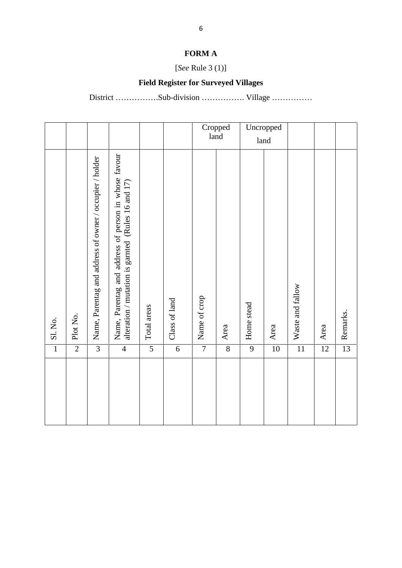# **FORM A**

# [*See* Rule 3 (1)]

# **Field Register for Surveyed Villages**

|                |                |                                                         |                                                                                                            |                | <b>Field Register for Surveyed Villages</b> |                |                |                |           |                  |                 |                 |
|----------------|----------------|---------------------------------------------------------|------------------------------------------------------------------------------------------------------------|----------------|---------------------------------------------|----------------|----------------|----------------|-----------|------------------|-----------------|-----------------|
|                |                |                                                         | District Sub-division  Village                                                                             |                |                                             |                |                |                |           |                  |                 |                 |
|                |                |                                                         |                                                                                                            |                |                                             |                |                |                |           |                  |                 |                 |
|                |                |                                                         |                                                                                                            |                |                                             |                | Cropped        |                | Uncropped |                  |                 |                 |
|                |                |                                                         |                                                                                                            |                |                                             |                | $\mbox{land}$  |                | land      |                  |                 |                 |
|                |                |                                                         |                                                                                                            |                |                                             |                |                |                |           |                  |                 |                 |
| Sl. No.        | Plot No.       | Name, Parentag and address of owner / occupier / holder | Name, Parentag and address of person in whose favour<br>alteration / mutation is garnted (Rules 16 and 17) | Total areas    | Class of land                               | Name of crop   | Area           | Home stead     | Area      | Waste and fallow | Area            | Remarks.        |
| $\overline{1}$ | $\overline{2}$ | $\overline{3}$                                          | $\overline{4}$                                                                                             | $\overline{5}$ | $\overline{6}$                              | $\overline{7}$ | $\overline{8}$ | $\overline{9}$ | 10        | $\overline{11}$  | $\overline{12}$ | $\overline{13}$ |
|                |                |                                                         |                                                                                                            |                |                                             |                |                |                |           |                  |                 |                 |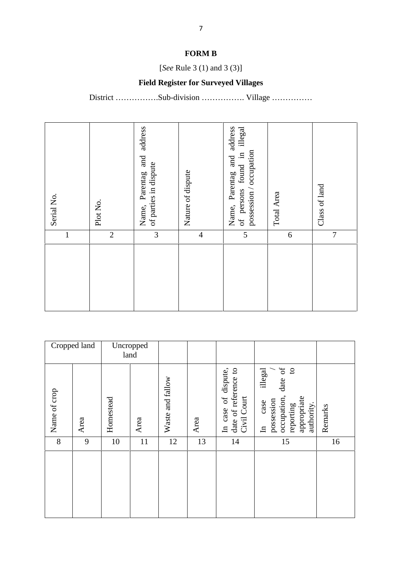**FORM B**[*See* Rule 3 (1) and 3 (3)]

# **Field Register for Surveyed Villages**

District …………….Sub-division ……………. Village ……………

|                  | Serial No.                                                                              |
|------------------|-----------------------------------------------------------------------------------------|
| $\mathbf{1}$     |                                                                                         |
| $\mathbf{2}$     | Plot No.                                                                                |
| 3                | address<br>Name, Parentag and<br>of parties in dispute                                  |
| $\overline{4}$   | Nature of dispute                                                                       |
| 5                | illegal<br>Name, Parentag and address<br>possession / occupation<br>of persons found in |
| $\boldsymbol{6}$ | Total Area                                                                              |
| $\boldsymbol{7}$ | Class of land                                                                           |
|                  |                                                                                         |

| Cropped land |      | Uncropped<br>land |      |                  |      |                                                            |                                                                                                                                   |         |
|--------------|------|-------------------|------|------------------|------|------------------------------------------------------------|-----------------------------------------------------------------------------------------------------------------------------------|---------|
| Name of crop | Area | Homestead         | Area | Waste and fallow | Area | In case of dispute,<br>date of reference to<br>Civil Court | date of<br>$\mathbf{c}$<br>illegal<br>occupation,<br>appropriate<br>possession<br>case<br>authority.<br>reporting<br>$\mathbf{H}$ | Remarks |
| $8\,$        | 9    | 10                | 11   | 12               | 13   | 14                                                         | 15                                                                                                                                | 16      |
|              |      |                   |      |                  |      |                                                            |                                                                                                                                   |         |